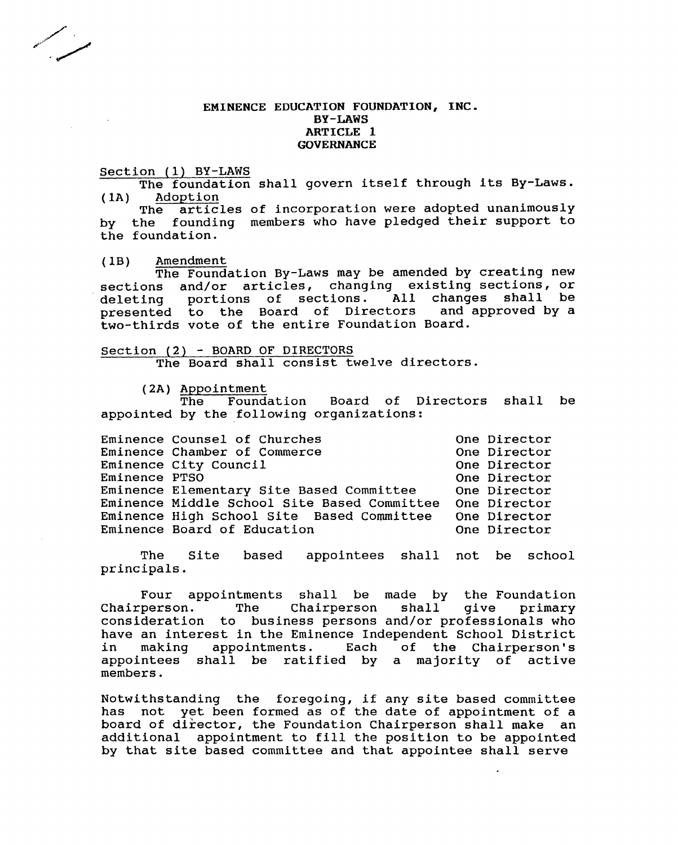### EMINENCE EDUCATION FOUNDATION, INC. BY-LAWS ARTICLE 1 GOVERNANCE

Section (1) BY-LAWS

The foundation shall govern itself through its By-Laws. (IA) Adoption

The articles of incorporation were adopted unanimously by the founding members who have pledged their support to the foundation.

(IB) Amendment

The Foundation By-Laws may be amended by creating new sections and/or articles, changing existing sections, or<br>deleting portions of sections. All changes shall be deleting portions of sections. All changes shall be<br>presented to the Board of Directors and approved by a presented to the Board of Directors two-thirds vote of the entire Foundation Board.

Section (2) - BOARD OF DIRECTORS The Board shall consist twelve directors.

(2A) Appointment<br>The Foundation Board of Directors shall be appointed by the following organizations:

|               | Eminence Counsel of Churches                | One Director |
|---------------|---------------------------------------------|--------------|
|               | Eminence Chamber of Commerce                | One Director |
|               | Eminence City Council                       | One Director |
| Eminence PTSO |                                             | One Director |
|               | Eminence Elementary Site Based Committee    | One Director |
|               | Eminence Middle School Site Based Committee | One Director |
|               | Eminence High School Site Based Committee   | One Director |
|               | Eminence Board of Education                 | One Director |

The Site based appointees shall not be school principals.

Four appointments shall be made by the Foundation<br>Chairperson. The Chairperson shall give primary The Chairperson shall give primary consideration to business persons and/or professionals who have an interest in the Eminence Independent School District<br>in making appointments. Each of the Chairperson's of the Chairperson's appointees shall be ratified by a majority of active members.

Notwithstanding the foregoing, if any site based committee has not yet been formed as of the date of appointment of a board of director, the Foundation Chairperson shall make an additional appointment to fill the position to be appointed by that site based committee and that appointee shall serve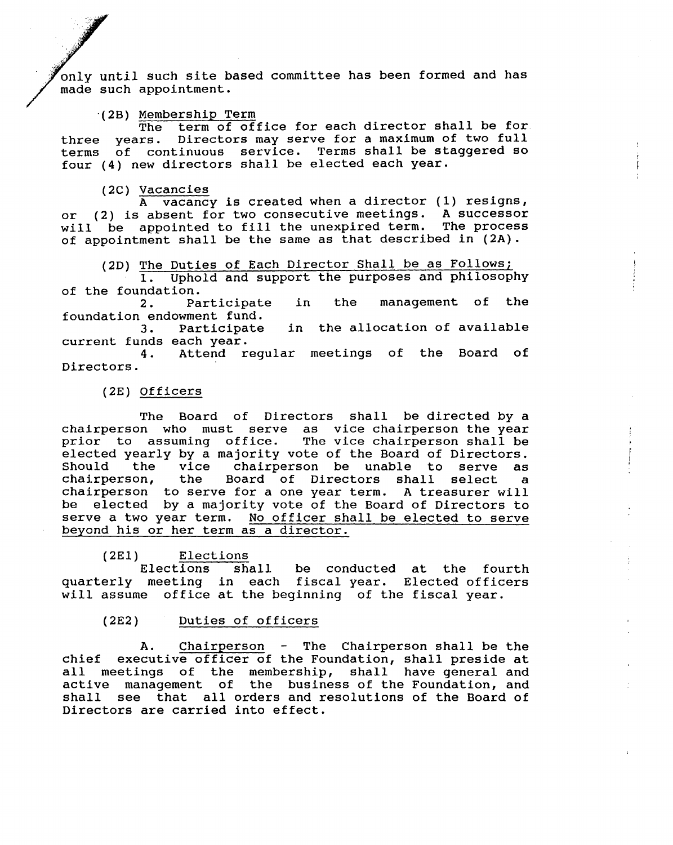until such *site* based committee has been formed and has made such appointment.

### '(2B) Membership Term

The term of office for each director shall be for. three years. Directors may serve for a maximum of two full terms of continuous service. Terms shall be staggered so four (4) new directors shall be elected each year.

# (2C) Vacancies

A vacancy is created when a director (1) resigns, or (2) is absent for two consecutive meetings. A successor will be appointed to fill the unexpired term. The process of appointment shall be the same as that described in (2A).

(2D) The Duties of Each Director Shall be as Follows;

1. Uphold and support the purposes and philosophy

of the foundation.<br>2. Participate 2. Participate in the management of the foundation endowment fund.

3. Participate in the allocation of available current funds each year.

4. Attend regular meetings of the Board of Directors.

#### (2E) Officers

The Board of Directors shall be directed by a chairperson who must serve as vice chairperson the year prior to assuming office. The vice chairperson shall be elected yearly by a majority vote of the Board of Directors. Should the vice chairperson be unable to serve as chairperson, the Board of Directors shall select a chairperson, the Board of Directors shall select a chairperson to serve for a one year term. A treasurer will be elected by a majority vote of the Board of Directors to serve a two year term. No officer shall be elected to serve beyond his or her term as a director.

(2E1) Elections<br>Elections she

shall be conducted at the fourth quarterly meeting in each fiscal year. Elected officers will assume office at the beginning of the fiscal year.

#### $(2E2)$ Duties of officers

A. Chairperson - The Chairperson shall be the chief executive officer of the Foundation, shall preside at all meetings of the membership, shall have general and active management of the business of the Foundation, and shall see that all orders and resolutions of the Board of Directors are carried into effect.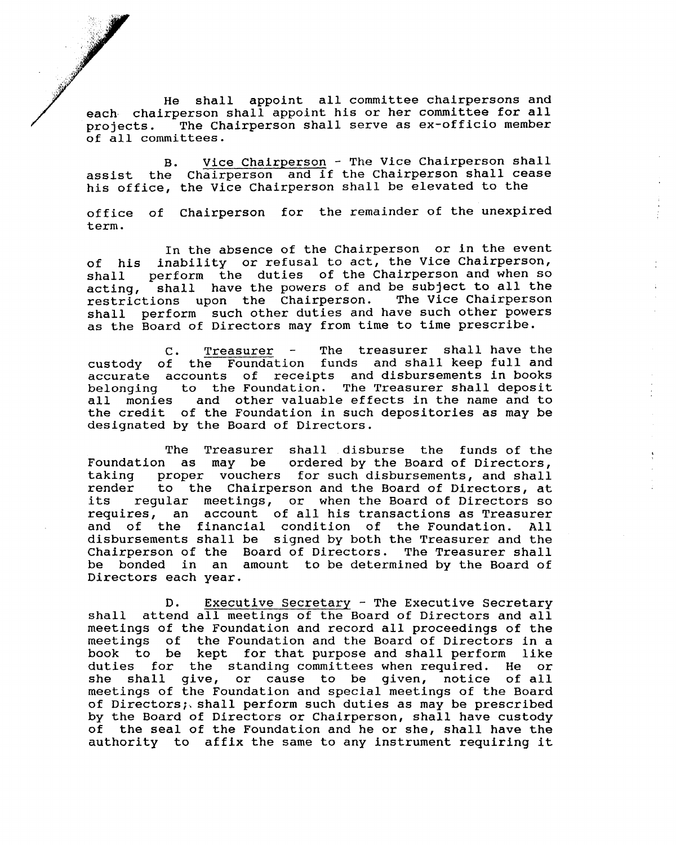*<sup>f</sup>'* He shall appoint all committee chairpersons and each chairperson shall appoint his or her committee for all projects. The Chairperson shall serve as ex-officio member of all committees.

*Y*

•..... :}}.' 'f

...

.. ,-~ .<br>الأول  $\mathscr{P}$ 

/

*.. ); ... e,* -,.':,i,)

B. Vice Chairperson - The Vice Chairperson shall assist the Chairperson and if the Chairperson shall cease his office, the Vice Chairperson shall be elevated to the

office of Chairperson for the remainder of the unexpired term.

In the absence of the Chairperson or in the event of his inability or refusal to act, the Vice Chairperson, shall perform the duties of the Chairperson and when so acting, shall have the powers of and be subject to all the restrictions upon the Chairperson. The Vice Chairperson restrictions upon the Chairperson. shall perform such other duties and have such other powers as the Board of Directors may from time to time prescribe.

C. Treasurer - The treasurer shall have the custody of the Foundation funds and shall keep full and accurate accounts of receipts and disbursements in books belonging to the Foundation. The Treasurer shall deposit all monies and other valuable effects in the name and to the credit of the Foundation in such depositories as may be designated by the Board of Directors.

The Treasurer shall disburse the funds of the Foundation as may be ordered by the Board of Directors, taking proper vouchers for such disbursements, and shall<br>render to the Chairperson and the Board of Directors, at to the Chairperson and the Board of Directors, at its regular meetings, or when the Board of Directors so requires, an account of all his transactions as Treasurer and of the financial condition of the Foundation. All disbursements shall be signed by both the Treasurer and the Chairperson of the Board of Directors. The Treasurer shall be bonded in an amount to be determined by the Board of Directors each year.

D. Executive Secretary - The Executive Secretary shall attend all meetings of the Board of Directors and all meetings of the Foundation and record all proceedings of the meetings of the Foundation and the Board of Directors in a book to be kept for that purpose and shall perform like duties for the standing committees when required. He or she shall give, or cause to be given, notice of all meetings of the Foundation and special meetings of the Board of Directors;, shall perform such duties as may be prescribed by the Board of Directors or Chairperson, shall have custody of the seal of the Foundation and he or she, shall have the authority to affix the same to any instrument requiring it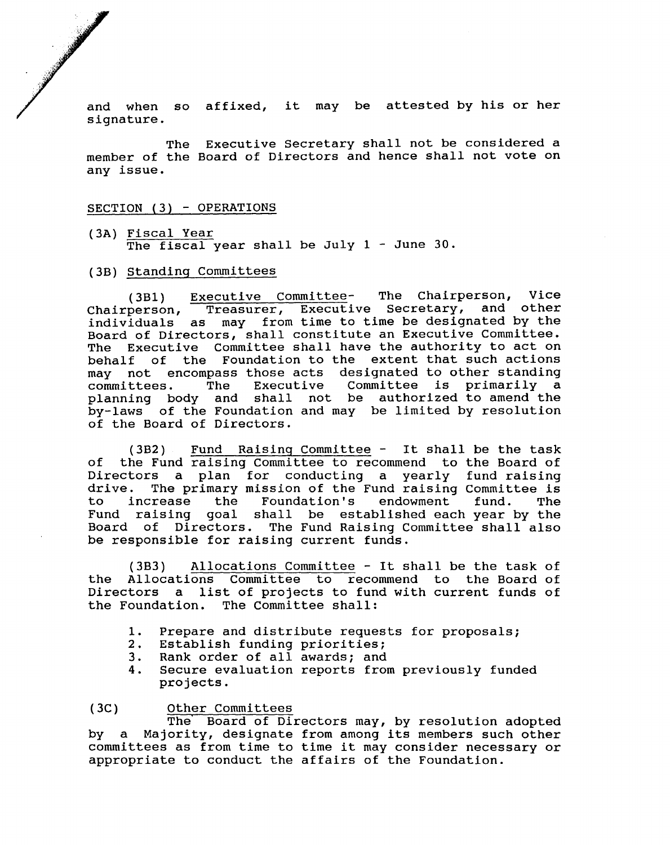and when so affixed, it may be attested by his or her signature.

The Executive Secretary shall not be considered a member of the Board of Directors and hence shall not vote on any issue.

#### SECTION (3) - OPERATIONS

- (3A) Fiscal Year The fiscal year shall be July 1 - June 30.
- (3B) Standing Committees

(3B1) Executive Committee- The Chairperson, Vice Chairperson, Treasurer, Executive Secretary, and other individuals as may from time to time be designated by the Board of Directors, shall constitute an Executive Committee. The Executive Committee shall have the authority to act on behalf of the Foundation to the extent that such actions may not encompass those acts designated to other standing<br>committees. The Executive Committee is primarily a Committee is primarily a planning body and shall not be authorized to amend the by-laws of the Foundation and may be limited by resolution of the Board of Directors.

(3B2) Fund Raising Committee - It shall be the task of the Fund raising Committee to recommend to the Board of Directors a plan for conducting a yearly fund raising<br>drive. The primary mission of the Fund raising Committee is drive. The primary mission of the Fund raising Committee is<br>to increase the Foundation's endowment fund. The increase the Fund raising goal shall be established each year by the Board of Directors. The Fund Raising Committee shall also be responsible for raising current funds.

(3B3) Allocations Committee - It shall be the task of the Allocations Committee to recommend to the Board of Directors a list of projects to fund with current funds of the Foundation. The Committee shall:

- 1. Prepare and distribute requests for proposals;
- 2. Establish funding priorities;<br>3. Rank order of all awards: and
- 3. Rank order of all awards; and
- Secure evaluation reports from previously funded projects.

 $(3C)$ Other Committees

The' Board of Directors may, by resolution adopted by a Majority, designate from among its members such other committees as from time to time it may consider necessary or appropriate to conduct the affairs of the Foundation.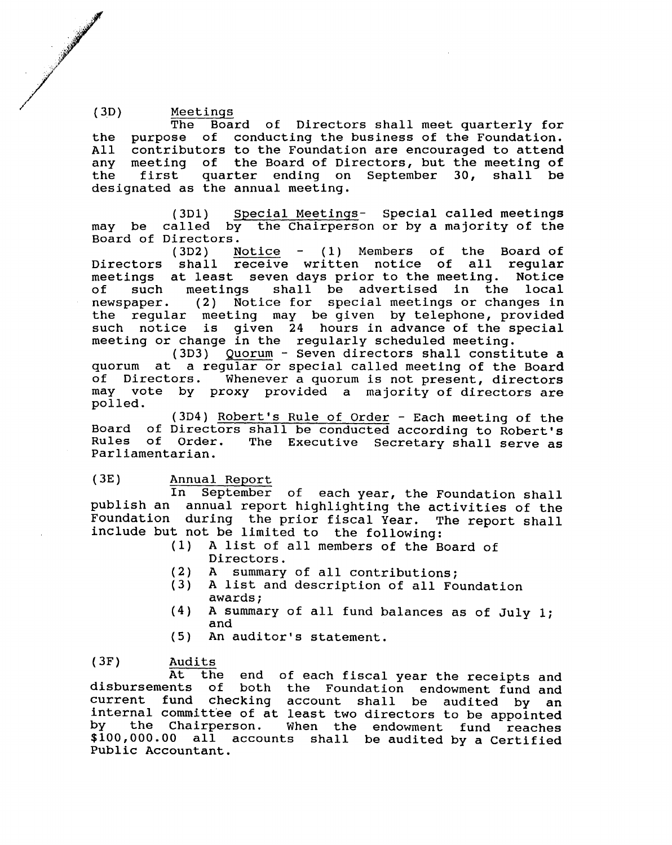1999年11月 12月 12日 12月 12日 12月 12日 12月 12日 12月 12日 12月 12日 12月 12日 12月 12日 12月 12日 12月 12日 12月 12日 12月 12日 12月 12日 12月 12日 12月 12日 12月 12日 12月 12日 12月 12日 12月 12日 12月 12日 12月 12日 12月 12日 12月 12日 12月 12日 12月 12日 12月 12日 12月 1

, ., ,

(3D) Meetings The Board of Directors shall meet quarterly for the purpose of conducting the business of the Foundation.<br>All contributors to the Foundation are encouraged to attend All contributors to the Foundation are encouraged to attend<br>any meeting of the Board of Directors, but the meeting of any meeting of the Board of Directors, but the meeting of<br>the first quarter ending on September 30, shall be first quarter ending on September 30, shall be designated as the annual meeting.

> (3D1) Special Meetings- Special called meetings may be called by the Chairperson or by a majority of the

> Board of Directors.<br>(3D2) N Notice  $-$  (1) Members of the Board of Directors shall receive written notice of all regular<br>meetings at least seven days prior to the meeting. Notice meetings at least seven days prior to the meeting.<br>of such meetings shall be advertised in the of such meetings shall be advertised in the local newspaper. (2) Notice for special meetings or changes in the regular meeting may be given by telephone, provided such notice is given 24 hours in advance of the special meeting or change in the regularly scheduled meeting.

> (3D3) Quorum - Seven directors shall constitute a quorum at a regular or special called meeting of the Board<br>of Directors. Whenever a quorum is not present, directors Whenever a quorum is not present, directors may vote by proxy provided a majority of directors are polled.

> (3D4) Robert's Rule of Order - Each meeting of the Board of Directors shall be conducted according to Robert's The Executive Secretary shall serve as Parliamentarian.

# (3E) Annual Report

In September of each year, the Foundation shall publish an annual report highlighting the activities of the Foundation during the prior fiscal Year. The report shall include but not be limited to the following:

- A list of all members of the Board of Directors.
- (2) A summary of all contributions;<br>(3) A list and description of all Fo
- A list and description of all Foundation awards;
- (4) A summary of all fund balances as of July 1; and
- (5) An auditor's statement.

(3F) Audits<br>At the

At the end of each fiscal year the receipts and<br>disbursements of both the Foundation endowment fund and both the Foundation endowment fund and current fund checking account shall be audited by an internal committee of at least two directors to be appointed<br>by the Chairperson. When the endowment fund reaches the Chairperson. When the endowment fund reaches \$100,000.00 all accounts shall be audited by a Certified Public Accountant.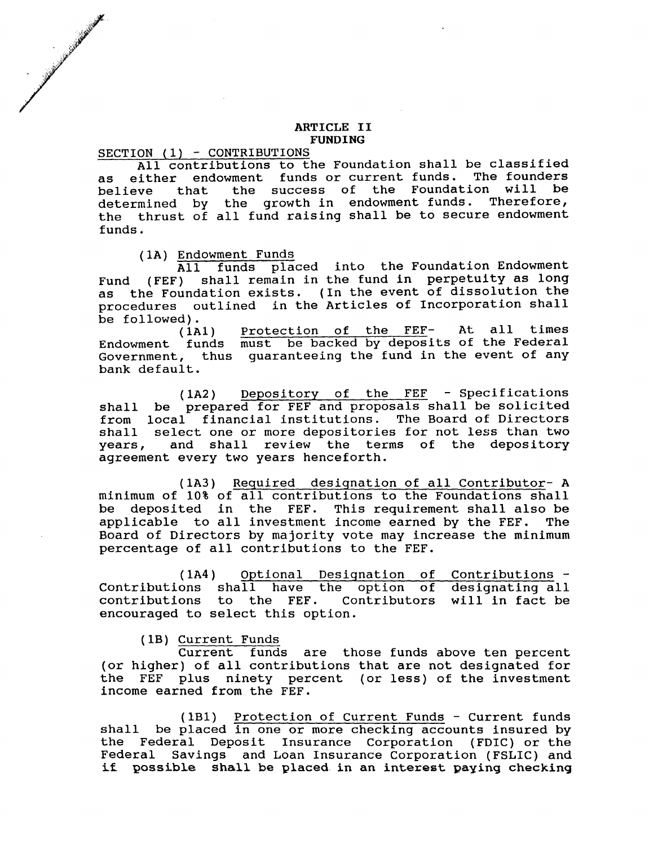#### ARTICLE II FUNDING

SECTION (1) - CONTRIBUTIONS

, I'; and the local contract of the local contract of the local contract of the local contract of the local contract of the local contract of the local contract of the local contract of the local contract of the local cont

*/.*

*/1'* .. 1~' <sup>~</sup> :/'1'

All contributions to the Foundation shall be classified<br>wither endowment funds or current funds. The founders as either endowment funds or current funds. The founders<br>helieve, that, the success of the Foundation will be believe that the success of the Foundation will determined by the growth in endowment funds. Therefore, the thrust of all fund raising shall be to secure endowment funds.

(lA) Endowment Funds

All funds placed into the Foundation Endowment Fund (FEF) shall remain in the fund in perpetuity as long as the Foundation exists. (In the event of dissolution the procedures outlined in the Articles of Incorporation shall be followed).

(lA1) Endowment funds must be backed by deposits of the Federal Government, thus guaranteeing the fund in the event of any bank default. Protection of the FEF- At all times

(lA2) Depository of the FEF - Specifications shall be prepared for FEF and proposals shall be solicited from local financial institutions. The Board of Directors shall select one or more depositories for not less than two years, and shall review the terms of the depository agreement every two years henceforth.

(lA3) Required designation of all Contributor- A minimum of 10% of all contributions to the Foundations shall be deposited in the FEF. This requirement shall also be applicable to all investment income earned by the FEF. The Board of Directors by majority vote may increase the minimum percentage of all contributions to the FEF.

(lA4) Optional Designation of Contributions -  $Contributions$  shall have the contributions to the FEF. encouraged to select this option. option of designating all Contributors will in fact be

(lB) Current Funds

Current funds are those funds above ten percent (or higher) of all contributions that are not designated for the FEF plus ninety percent (or less) of the investment income earned from the FEF.

(lB1) Protection of Current Funds - Current funds shall be placed in one or more checking accounts insured by the Federal Deposit Insurance Corporation (FDIC) or the Federal Savings and Loan Insurance Corporation (FSLIC) and if possible shall be placed in an interest paying checking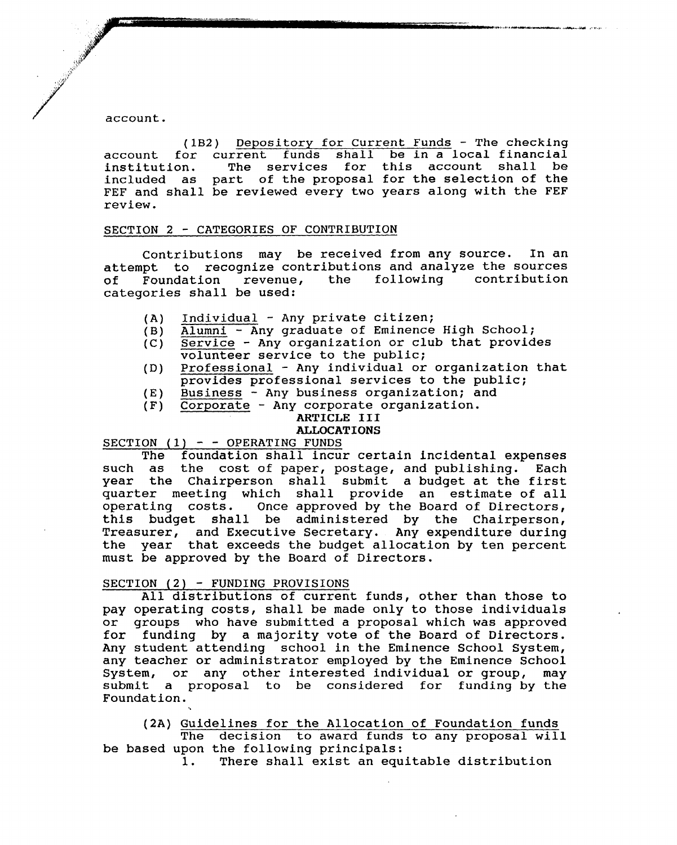account.

/

 $\mathbf{.}$  $\mathcal{F}$ .<br>تانې  $\mathbb{R}^3$ 

**/ 1999年1月** 

~

(lB2) Depository for Current Funds - The checking account for current funds shall be *in* a local financial The services for this account shall be included as part of the proposal for the selection of the FEF and shall be reviewed every two years along with the FEF review.

. The state of the contract of the contract of the contract of the contract of the contract of the contract of the contract of the contract of the contract of the contract of the contract of the contract of the contract o

#### SECTION 2 - CATEGORIES OF CONTRIBUTION

contributions may be received from any source. In an attempt to recognize contributions and analyze the sources<br>of Foundation revenue, the following contribution of Foundation revenue, the following categories shall be used:

- (A) Individual Any private citizen;
- (B) Alumni Any graduate of Eminence High School;
- (C) Service Any organization or club that provides volunteer service to the public;
- (D) Professional Any individual or organization that provides professional services to the public;
- (E) Business Any business organization; and
- (F) Corporate Any corporate organization.

#### ARTICLE III

# ALLOCATIONS

SECTION  $(1)$  - - OPERATING FUNDS

The foundation shall incur certain incidental expenses such as the cost of paper, postage, and publishing. Each year the Chairperson shall submit a budget at the first quarter meeting which shall provide an estimate of all operating costs. Once approved by the Board of Directors, this budget shall be administered by the Chairperson, Treasurer, and Executive Secretary. Any expenditure during the year that exceeds the budget allocation by ten percent must be approved by the Board of Directors.

#### SECTION (2) - FUNDING PROVISIONS

All distributions of current funds, other than those to pay operating costs, shall be made only to those individuals or groups who have submitted a proposal which was approved for funding by a majority vote of the Board of Directors. Any student attending school in the Eminence School System, any teacher or administrator employed by the Eminence School System, or any other interested individual or group, may submit a proposal to be considered for funding by the Foundation.

(2A) Guidelines for the Allocation of Foundation funds The decision to award funds to any proposal will

be based upon the following principals:

1. There shall exist an equitable distribution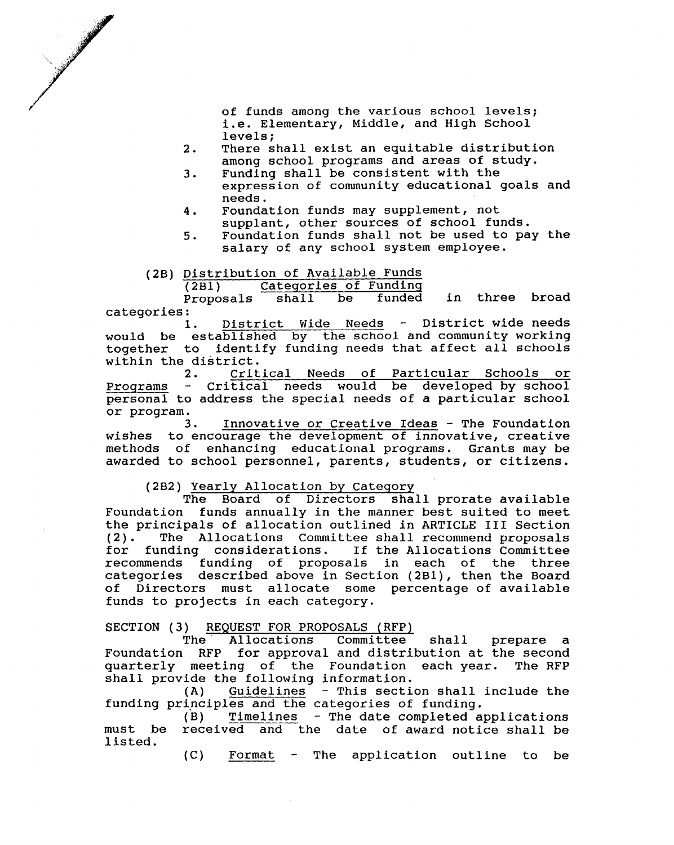

of funds among the various school levels; i.e. Elementary, Middle, and High School levels;

- 2. There shall exist an equitable distribution among school programs and areas of study.
- 3. Funding shall be consistent with the expression of community educational goals and needs.
- 4. Foundation funds may supplement, not supplant, other sources of school funds.
- 5. Foundation funds shall not be used to pay the salary of any school system employee.

# (2B) Distribution of Available Funds<br>(2B1) Categories of Funding

Categories of Funding<br>
shall be funded in three broad Proposals

categories: District Wide Needs - District wide needs would be established by the school and community working together to identify funding needs that affect all schools within the district.<br>2. Crit

Critical Needs of Particular Schools or Programs - Critical needs would be developed by school personal to address the special needs of a particular school or program.

3. Innovative or Creative Ideas - The Foundation to encourage the development of innovative, creative methods of enhancing educational programs. Grants may be awarded to school personnel, parents, students, or citizens. wishes

# (2B2) <u>Yearly Allocation by Category</u><br>The Board of Directors sha

Board of Directors shall prorate available Foundation funds annually in the manner best suited to meet the principals of allocation outlined in ARTICLE III Section (2). The Allocations Committee shall recommend proposals<br>for funding considerations. If the Allocations Committee If the Allocations Committee recommends funding of proposals in each of the three categories described above in Section (2B1), then the Board of Directors must allocate some percentage of available funds to projects in each category.

#### SECTION (3) REQUEST FOR PROPOSALS (RFP)

The Allocations Committee shall prepare a Foundation RFP for approval and distribution at the second quarterly meeting of the Foundation each year. The RFP shall provide the following information.

(A) Guidelines - This section shall include the funding principles and the categories of funding.<br>(B) Timelines - The date completed a

Timelines - The date completed applications must be received and the date of award notice shall be listed.

> $(C)$ Format  $\frac{1}{2}$  and  $\frac{1}{2}$ The application outline to be